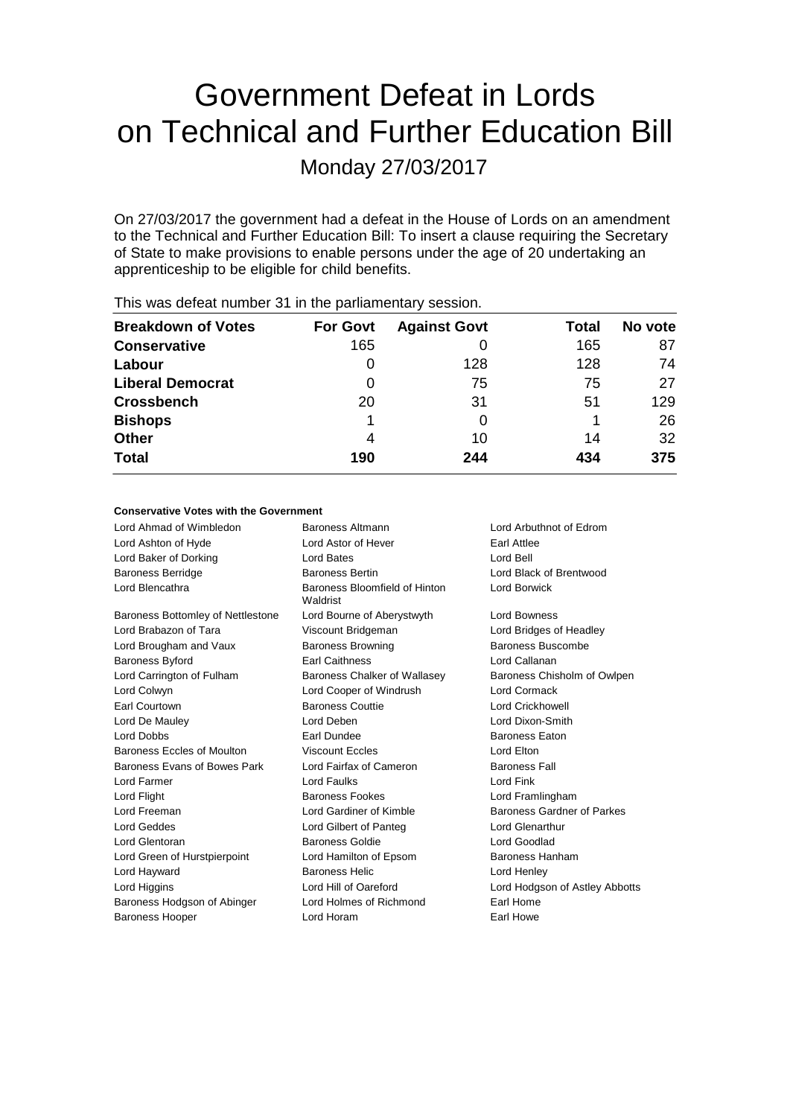# Government Defeat in Lords on Technical and Further Education Bill

Monday 27/03/2017

On 27/03/2017 the government had a defeat in the House of Lords on an amendment to the Technical and Further Education Bill: To insert a clause requiring the Secretary of State to make provisions to enable persons under the age of 20 undertaking an apprenticeship to be eligible for child benefits.

| <b>Breakdown of Votes</b> | <b>For Govt</b> | <b>Against Govt</b> | Total | No vote |
|---------------------------|-----------------|---------------------|-------|---------|
| <b>Conservative</b>       | 165             |                     | 165   | 87      |
| Labour                    | $\Omega$        | 128                 | 128   | 74      |
| <b>Liberal Democrat</b>   | 0               | 75                  | 75    | 27      |
| <b>Crossbench</b>         | 20              | 31                  | 51    | 129     |
| <b>Bishops</b>            |                 |                     |       | 26      |
| <b>Other</b>              | 4               | 10                  | 14    | 32      |
| <b>Total</b>              | 190             | 244                 | 434   | 375     |
|                           |                 |                     |       |         |

This was defeat number 31 in the parliamentary session.

#### **Conservative Votes with the Government**

| Lord Ahmad of Wimbledon           | Baroness Altmann                          | Lord Arbuthnot of Edrom           |
|-----------------------------------|-------------------------------------------|-----------------------------------|
| Lord Ashton of Hyde               | Lord Astor of Hever                       | Earl Attlee                       |
| Lord Baker of Dorking             | Lord Bates                                | Lord Bell                         |
| <b>Baroness Berridge</b>          | <b>Baroness Bertin</b>                    | Lord Black of Brentwood           |
| Lord Blencathra                   | Baroness Bloomfield of Hinton<br>Waldrist | Lord Borwick                      |
| Baroness Bottomley of Nettlestone | Lord Bourne of Aberystwyth                | Lord Bowness                      |
| Lord Brabazon of Tara             | Viscount Bridgeman                        | Lord Bridges of Headley           |
| Lord Brougham and Vaux            | <b>Baroness Browning</b>                  | Baroness Buscombe                 |
| <b>Baroness Byford</b>            | <b>Earl Caithness</b>                     | Lord Callanan                     |
| Lord Carrington of Fulham         | Baroness Chalker of Wallasey              | Baroness Chisholm of Owlpen       |
| Lord Colwyn                       | Lord Cooper of Windrush                   | Lord Cormack                      |
| Earl Courtown                     | <b>Baroness Couttie</b>                   | <b>Lord Crickhowell</b>           |
| Lord De Mauley                    | Lord Deben                                | Lord Dixon-Smith                  |
| Lord Dobbs                        | Earl Dundee                               | <b>Baroness Eaton</b>             |
| Baroness Eccles of Moulton        | <b>Viscount Eccles</b>                    | Lord Elton                        |
| Baroness Evans of Bowes Park      | Lord Fairfax of Cameron                   | <b>Baroness Fall</b>              |
| Lord Farmer                       | Lord Faulks                               | Lord Fink                         |
| Lord Flight                       | <b>Baroness Fookes</b>                    | Lord Framlingham                  |
| Lord Freeman                      | Lord Gardiner of Kimble                   | <b>Baroness Gardner of Parkes</b> |
| <b>Lord Geddes</b>                | Lord Gilbert of Panteg                    | Lord Glenarthur                   |
| Lord Glentoran                    | Baroness Goldie                           | Lord Goodlad                      |
| Lord Green of Hurstpierpoint      | Lord Hamilton of Epsom                    | Baroness Hanham                   |
| Lord Hayward                      | <b>Baroness Helic</b>                     | Lord Henley                       |
| Lord Higgins                      | Lord Hill of Oareford                     | Lord Hodgson of Astley Abbotts    |
| Baroness Hodgson of Abinger       | Lord Holmes of Richmond                   | Earl Home                         |
| <b>Baroness Hooper</b>            | Lord Horam                                | Earl Howe                         |
|                                   |                                           |                                   |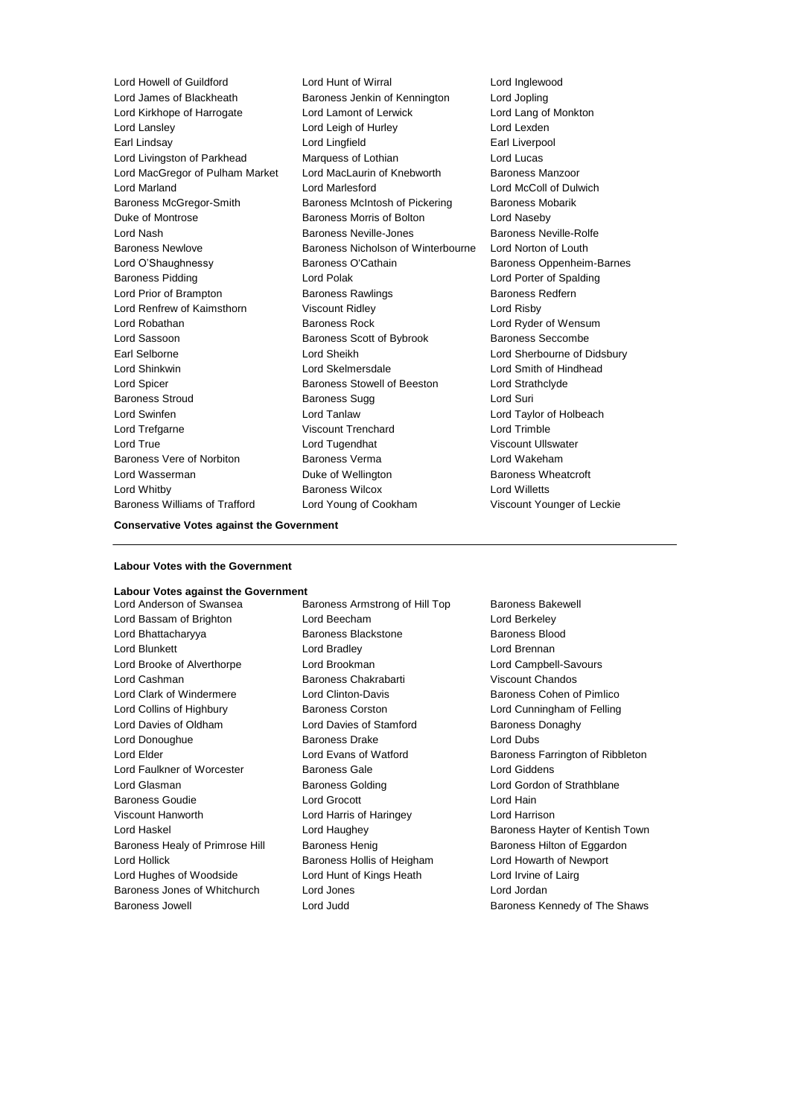Lord Howell of Guildford Lord Hunt of Wirral Lord Inglewood Lord James of Blackheath Baroness Jenkin of Kennington Lord Jopling Lord Kirkhope of Harrogate Lord Lamont of Lerwick Lord Lang of Monkton<br>
Lord Lanslev Lord Leigh of Hurley Lord Lexden<br>
Lord Lanslev Earl Lindsay Lord Lingfield Earl Liverpool Lord Livingston of Parkhead Marquess of Lothian Lord Lucas Lord MacGregor of Pulham Market Lord MacLaurin of Knebworth Baroness Manzoor Lord Marland Lord Marlesford Lord McColl of Dulwich Baroness McGregor-Smith Baroness McIntosh of Pickering Baroness Mobarik Duke of Montrose **Baroness Morris of Bolton** Lord Naseby Lord Nash Baroness Neville-Jones Baroness Neville-Rolfe Baroness Newlove Baroness Nicholson of Winterbourne Lord Norton of Louth Lord O'Shaughnessy **Baroness O'Cathain** Baroness Oppenheim-Barnes Baroness Pidding **Communist Constructed Lord Polak** Lord Porter of Spalding Lord Porter of Spalding Lord Prior of Brampton Baroness Rawlings Baroness Redfern Lord Renfrew of Kaimsthorn Viscount Ridley Lord Risby Lord Robathan Baroness Rock Lord Ryder of Wensum Lord Sassoon **Baroness Scott of Bybrook** Baroness Seccombe Earl Selborne Lord Sheikh Lord Sherbourne of Didsbury Lord Shinkwin Lord Skelmersdale Lord Smith of Hindhead Lord Spicer **Baroness Stowell of Beeston** Lord Strathclyde Baroness Stroud Baroness Sugg Lord Suri Lord Swinfen Lord Tanlaw Lord Taylor of Holbeach Lord Trefgarne Viscount Trenchard Lord Trimble Lord True Lord Tugendhat Viscount Ullswater Baroness Vere of Norbiton Baroness Verma Lord Wakeham Lord Wasserman **Duke of Wellington** Baroness Wheatcroft Lord Whitby Baroness Wilcox Lord Willetts Baroness Williams of Trafford Lord Young of Cookham Viscount Younger of Leckie

Lord Leigh of Hurley Lord Lexden

**Conservative Votes against the Government**

#### **Labour Votes with the Government**

## **Labour Votes against the Government**

Lord Bassam of Brighton Lord Beecham Lord Berkeley Lord Bhattacharyya Baroness Blackstone Baroness Blood Lord Blunkett Lord Bradley Lord Brennan Lord Brooke of Alverthorpe Lord Brookman Lord Campbell-Savours Lord Cashman Baroness Chakrabarti Viscount Chandos Lord Clark of Windermere Lord Clinton-Davis Baroness Cohen of Pimlico Lord Collins of Highbury **Baroness Corston** Lord Cunningham of Felling Lord Davies of Oldham Lord Davies of Stamford Baroness Donaghy Lord Donoughue Baroness Drake Lord Dubs Lord Faulkner of Worcester **Baroness Gale Baroness Gale** Lord Giddens Lord Glasman **Baroness Golding Community Contains Containers** Lord Gordon of Strathblane Baroness Goudie Lord Grocott Lord Hain Viscount Hanworth Lord Harris of Haringey Lord Harrison Baroness Healy of Primrose Hill Baroness Henig Baroness Henig Baroness Hilton of Eggardon Lord Hollick **Baroness Hollis of Heigham** Lord Howarth of Newport Lord Hughes of Woodside Lord Hunt of Kings Heath Lord Irvine of Lairg Baroness Jones of Whitchurch Lord Jones Lord Jordan

Baroness Armstrong of Hill Top Baroness Bakewell Baroness Jowell Lord Judd Baroness Kennedy of The Shaws

Lord Elder **Lord Evans of Watford** Baroness Farrington of Ribbleton Lord Haskel **Lord Haughey Communist Communist Communist Communist Communist Communist Communist Communist Communist Communist Communist Communist Communist Communist Communist Communist Communist Communist Communist Commun**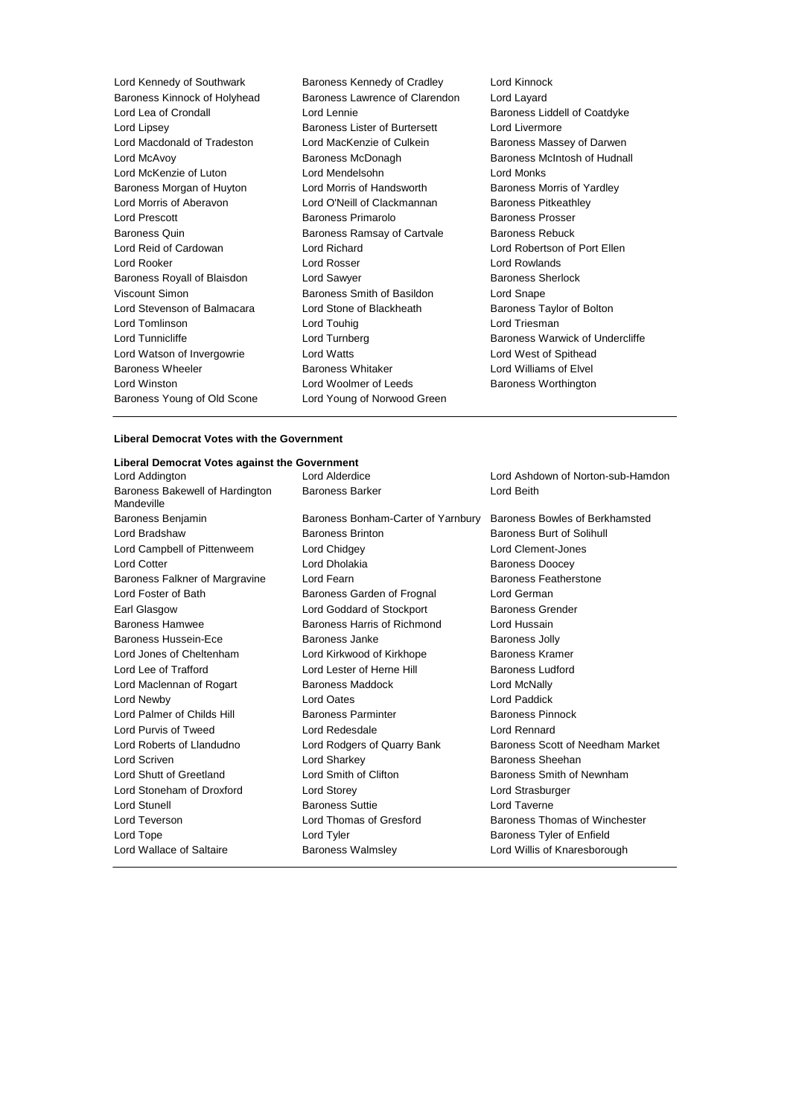| Lord Kennedy of Southwark    | Baroness Kennedy of Cradley    | Lord Kinnocl        |
|------------------------------|--------------------------------|---------------------|
| Baroness Kinnock of Holyhead | Baroness Lawrence of Clarendon | Lord Layard         |
| Lord Lea of Crondall         | Lord Lennie                    | <b>Baroness Lio</b> |
| Lord Lipsey                  | Baroness Lister of Burtersett  | Lord Livermo        |
| Lord Macdonald of Tradeston  | Lord MacKenzie of Culkein      | <b>Baroness Ma</b>  |
| Lord McAvoy                  | Baroness McDonagh              | <b>Baroness Mo</b>  |
| Lord McKenzie of Luton       | Lord Mendelsohn                | Lord Monks          |
| Baroness Morgan of Huyton    | Lord Morris of Handsworth      | Baroness Mo         |
| Lord Morris of Aberavon      | Lord O'Neill of Clackmannan    | <b>Baroness Pit</b> |
| <b>Lord Prescott</b>         | Baroness Primarolo             | <b>Baroness Pr</b>  |
| Baroness Quin                | Baroness Ramsay of Cartvale    | Baroness Re         |
| Lord Reid of Cardowan        | Lord Richard                   | Lord Roberts        |
| Lord Rooker                  | Lord Rosser                    | Lord Rowlan         |
| Baroness Royall of Blaisdon  | Lord Sawyer                    | <b>Baroness Sh</b>  |
| Viscount Simon               | Baroness Smith of Basildon     | Lord Snape          |
| Lord Stevenson of Balmacara  | Lord Stone of Blackheath       | <b>Baroness Ta</b>  |
| Lord Tomlinson               | Lord Touhig                    | Lord Triesma        |
| Lord Tunnicliffe             | Lord Turnberg                  | Baroness W          |
| Lord Watson of Invergowrie   | Lord Watts                     | Lord West of        |
| <b>Baroness Wheeler</b>      | <b>Baroness Whitaker</b>       | Lord William        |
| Lord Winston                 | Lord Woolmer of Leeds          | <b>Baroness W</b>   |
| Baroness Young of Old Scone  | Lord Young of Norwood Green    |                     |
|                              |                                |                     |

Lord Kinnock Baroness Liddell of Coatdyke Lord Livermore Baroness Massey of Darwen Baroness McIntosh of Hudnall Baroness Morris of Yardley Baroness Pitkeathley Baroness Prosser Baroness Rebuck Lord Robertson of Port Ellen Lord Rowlands Baroness Sherlock Lord Snape Baroness Taylor of Bolton Lord Triesman Baroness Warwick of Undercliffe Lord West of Spithead Lord Williams of Elvel Baroness Worthington

#### **Liberal Democrat Votes with the Government**

### **Liberal Democrat Votes against the Government**

Lord Addington Lord Alderdice Lord Ashdown of Norton-sub-Hamdon Baroness Bakewell of Hardington Mandeville Baroness Barker **Lord Beith** Baroness Benjamin Baroness Bonham-Carter of Yarnbury Baroness Bowles of Berkhamsted Lord Bradshaw **Baroness Brinton** Baroness Burt of Solihull<br>
Lord Campbell of Pittenweem Lord Chidgey **Baroness Burt of Solihull**<br>
Lord Clement-Jones Lord Campbell of Pittenweem Lord Chidgey Lord Clement-Jones Lord Cotter **Lord Dholakia** Baroness Doocey Baroness Falkner of Margravine Lord Fearn **Baroness Featherstone** Baroness Featherstone Lord Foster of Bath Baroness Garden of Frognal Lord German Earl Glasgow **Lord Goddard of Stockport** Baroness Grender Baroness Hamwee **Baroness Harris of Richmond** Lord Hussain Baroness Hussein-Ece **Baroness Janke** Baroness John Baroness Jolly Lord Jones of Cheltenham Lord Kirkwood of Kirkhope Baroness Kramer Lord Lee of Trafford **Lord Lester of Herne Hill** Baroness Ludford Lord Maclennan of Rogart **Baroness Maddock** Lord McNally Lord Newby Lord Oates Lord Paddick Lord Palmer of Childs Hill **Baroness Parminter** Baroness Pinnock Lord Purvis of Tweed Lord Redesdale Lord Rennard Lord Roberts of Llandudno **Lord Rodgers of Quarry Bank** Baroness Scott of Needham Market Lord Scriven Lord Sharkey Baroness Sheehan Lord Shutt of Greetland Lord Smith of Clifton Baroness Smith of Newnham Lord Stoneham of Droxford Lord Storey Lord Strasburger Lord Stunell Baroness Suttie Lord Taverne Lord Teverson **Lord Thomas of Gresford** Baroness Thomas of Winchester Lord Tope Lord Tyler Baroness Tyler of Enfield Lord Wallace of Saltaire **Baroness Walmsley Communist Conduct And My** Lord Willis of Knaresborough